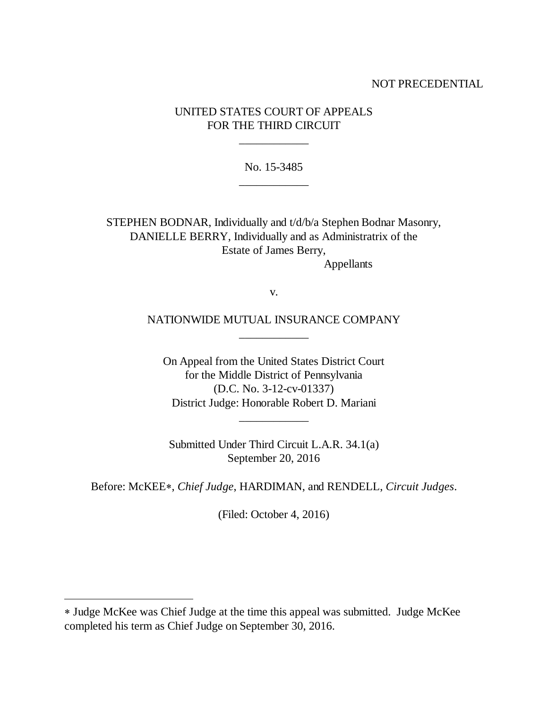### NOT PRECEDENTIAL

# UNITED STATES COURT OF APPEALS FOR THE THIRD CIRCUIT

\_\_\_\_\_\_\_\_\_\_\_\_

No. 15-3485 \_\_\_\_\_\_\_\_\_\_\_\_

STEPHEN BODNAR, Individually and t/d/b/a Stephen Bodnar Masonry, DANIELLE BERRY, Individually and as Administratrix of the Estate of James Berry, Appellants

v.

NATIONWIDE MUTUAL INSURANCE COMPANY \_\_\_\_\_\_\_\_\_\_\_\_

On Appeal from the United States District Court for the Middle District of Pennsylvania (D.C. No. 3-12-cv-01337) District Judge: Honorable Robert D. Mariani

\_\_\_\_\_\_\_\_\_\_\_\_

Submitted Under Third Circuit L.A.R. 34.1(a) September 20, 2016

Before: McKEE, *Chief Judge*, HARDIMAN, and RENDELL, *Circuit Judges*.

(Filed: October 4, 2016)

 $\overline{a}$ 

Judge McKee was Chief Judge at the time this appeal was submitted. Judge McKee completed his term as Chief Judge on September 30, 2016.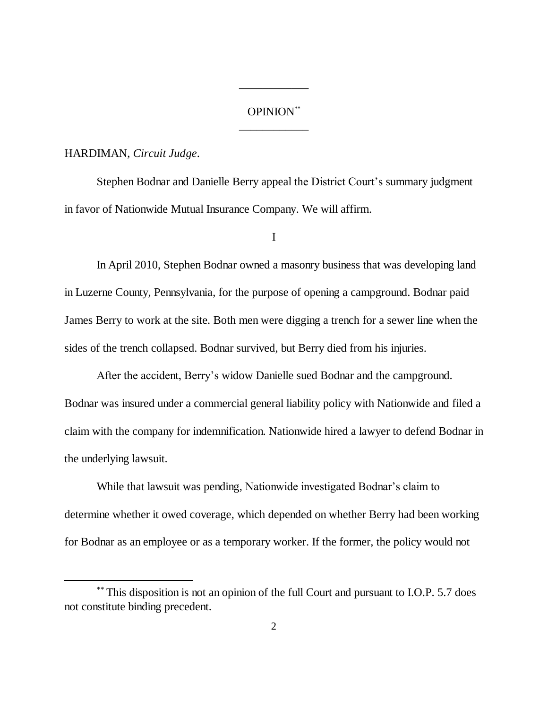# OPINION\*\* \_\_\_\_\_\_\_\_\_\_\_\_

\_\_\_\_\_\_\_\_\_\_\_\_

#### HARDIMAN, *Circuit Judge*.

Stephen Bodnar and Danielle Berry appeal the District Court's summary judgment in favor of Nationwide Mutual Insurance Company. We will affirm.

I

In April 2010, Stephen Bodnar owned a masonry business that was developing land in Luzerne County, Pennsylvania, for the purpose of opening a campground. Bodnar paid James Berry to work at the site. Both men were digging a trench for a sewer line when the sides of the trench collapsed. Bodnar survived, but Berry died from his injuries.

After the accident, Berry's widow Danielle sued Bodnar and the campground. Bodnar was insured under a commercial general liability policy with Nationwide and filed a claim with the company for indemnification. Nationwide hired a lawyer to defend Bodnar in the underlying lawsuit.

While that lawsuit was pending, Nationwide investigated Bodnar's claim to determine whether it owed coverage, which depended on whether Berry had been working for Bodnar as an employee or as a temporary worker. If the former, the policy would not

<sup>\*\*</sup> This disposition is not an opinion of the full Court and pursuant to I.O.P. 5.7 does not constitute binding precedent.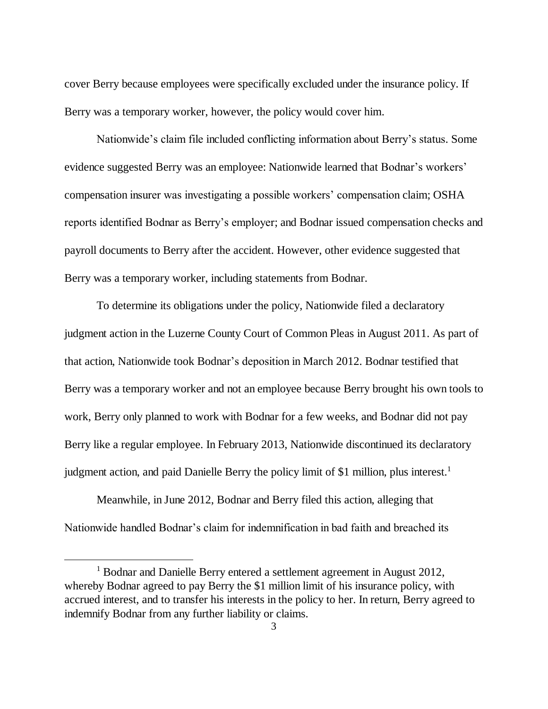cover Berry because employees were specifically excluded under the insurance policy. If Berry was a temporary worker, however, the policy would cover him.

Nationwide's claim file included conflicting information about Berry's status. Some evidence suggested Berry was an employee: Nationwide learned that Bodnar's workers' compensation insurer was investigating a possible workers' compensation claim; OSHA reports identified Bodnar as Berry's employer; and Bodnar issued compensation checks and payroll documents to Berry after the accident. However, other evidence suggested that Berry was a temporary worker, including statements from Bodnar.

To determine its obligations under the policy, Nationwide filed a declaratory judgment action in the Luzerne County Court of Common Pleas in August 2011. As part of that action, Nationwide took Bodnar's deposition in March 2012. Bodnar testified that Berry was a temporary worker and not an employee because Berry brought his own tools to work, Berry only planned to work with Bodnar for a few weeks, and Bodnar did not pay Berry like a regular employee. In February 2013, Nationwide discontinued its declaratory judgment action, and paid Danielle Berry the policy limit of \$1 million, plus interest.<sup>1</sup>

Meanwhile, in June 2012, Bodnar and Berry filed this action, alleging that Nationwide handled Bodnar's claim for indemnification in bad faith and breached its

 $\overline{a}$ 

<sup>&</sup>lt;sup>1</sup> Bodnar and Danielle Berry entered a settlement agreement in August 2012, whereby Bodnar agreed to pay Berry the \$1 million limit of his insurance policy, with accrued interest, and to transfer his interests in the policy to her. In return, Berry agreed to indemnify Bodnar from any further liability or claims.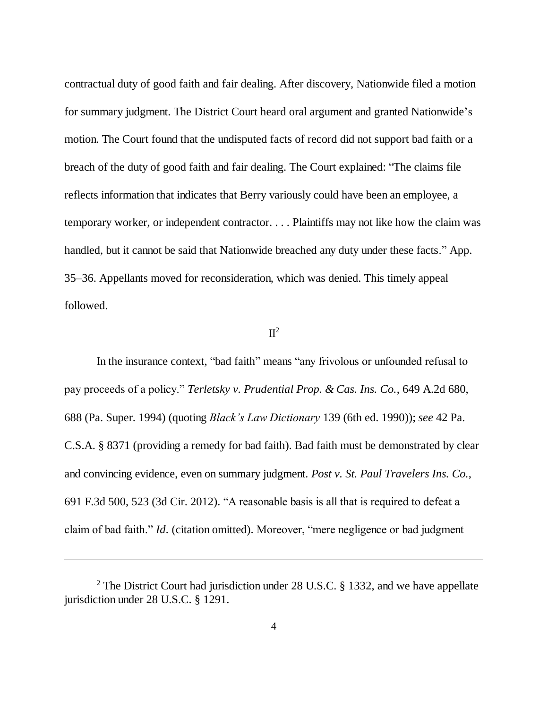contractual duty of good faith and fair dealing. After discovery, Nationwide filed a motion for summary judgment. The District Court heard oral argument and granted Nationwide's motion. The Court found that the undisputed facts of record did not support bad faith or a breach of the duty of good faith and fair dealing. The Court explained: "The claims file reflects information that indicates that Berry variously could have been an employee, a temporary worker, or independent contractor. . . . Plaintiffs may not like how the claim was handled, but it cannot be said that Nationwide breached any duty under these facts." App. 35–36. Appellants moved for reconsideration, which was denied. This timely appeal followed.

#### $\Pi^2$

In the insurance context, "bad faith" means "any frivolous or unfounded refusal to pay proceeds of a policy." *Terletsky v. Prudential Prop. & Cas. Ins. Co.*, 649 A.2d 680, 688 (Pa. Super. 1994) (quoting *Black's Law Dictionary* 139 (6th ed. 1990)); *see* 42 Pa. C.S.A. § 8371 (providing a remedy for bad faith). Bad faith must be demonstrated by clear and convincing evidence, even on summary judgment. *Post v. St. Paul Travelers Ins. Co.*, 691 F.3d 500, 523 (3d Cir. 2012). "A reasonable basis is all that is required to defeat a claim of bad faith." *Id.* (citation omitted). Moreover, "mere negligence or bad judgment

 $\overline{a}$ 

<sup>&</sup>lt;sup>2</sup> The District Court had jurisdiction under 28 U.S.C. § 1332, and we have appellate jurisdiction under 28 U.S.C. § 1291.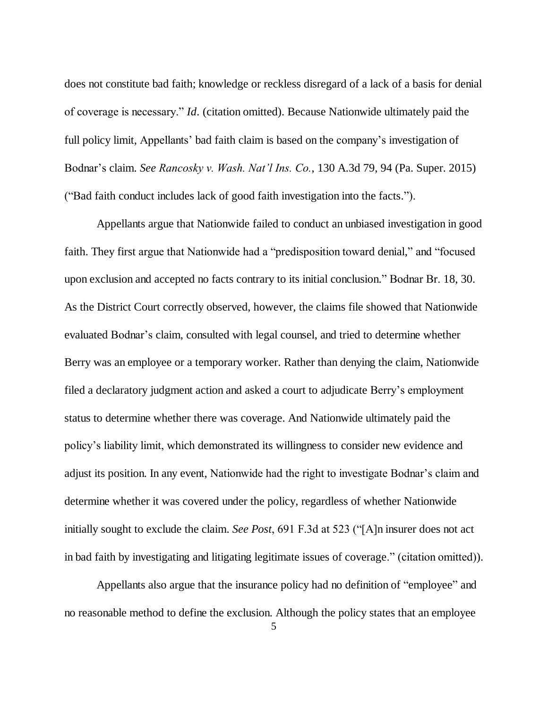does not constitute bad faith; knowledge or reckless disregard of a lack of a basis for denial of coverage is necessary." *Id.* (citation omitted). Because Nationwide ultimately paid the full policy limit, Appellants' bad faith claim is based on the company's investigation of Bodnar's claim. *See Rancosky v. Wash. Nat'l Ins. Co.*, 130 A.3d 79, 94 (Pa. Super. 2015) ("Bad faith conduct includes lack of good faith investigation into the facts.").

Appellants argue that Nationwide failed to conduct an unbiased investigation in good faith. They first argue that Nationwide had a "predisposition toward denial," and "focused upon exclusion and accepted no facts contrary to its initial conclusion." Bodnar Br. 18, 30. As the District Court correctly observed, however, the claims file showed that Nationwide evaluated Bodnar's claim, consulted with legal counsel, and tried to determine whether Berry was an employee or a temporary worker. Rather than denying the claim, Nationwide filed a declaratory judgment action and asked a court to adjudicate Berry's employment status to determine whether there was coverage. And Nationwide ultimately paid the policy's liability limit, which demonstrated its willingness to consider new evidence and adjust its position. In any event, Nationwide had the right to investigate Bodnar's claim and determine whether it was covered under the policy, regardless of whether Nationwide initially sought to exclude the claim. *See Post*, 691 F.3d at 523 ("[A]n insurer does not act in bad faith by investigating and litigating legitimate issues of coverage." (citation omitted)).

Appellants also argue that the insurance policy had no definition of "employee" and no reasonable method to define the exclusion. Although the policy states that an employee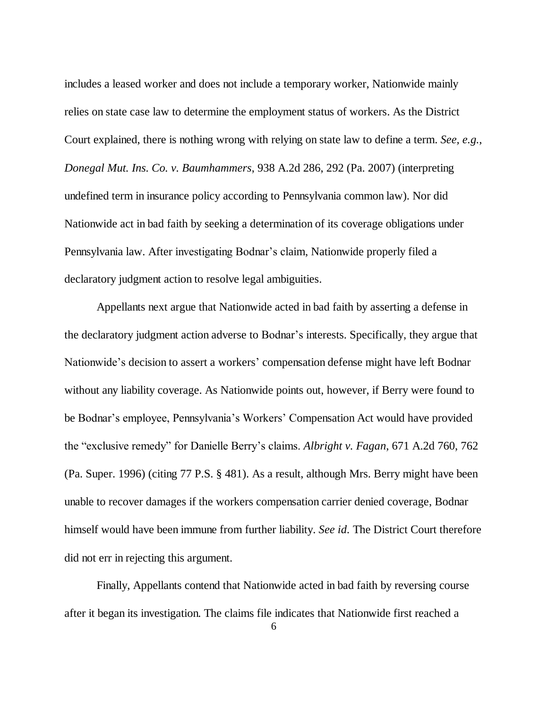includes a leased worker and does not include a temporary worker, Nationwide mainly relies on state case law to determine the employment status of workers. As the District Court explained, there is nothing wrong with relying on state law to define a term. *See, e.g.*, *Donegal Mut. Ins. Co. v. Baumhammers*, 938 A.2d 286, 292 (Pa. 2007) (interpreting undefined term in insurance policy according to Pennsylvania common law). Nor did Nationwide act in bad faith by seeking a determination of its coverage obligations under Pennsylvania law. After investigating Bodnar's claim, Nationwide properly filed a declaratory judgment action to resolve legal ambiguities.

Appellants next argue that Nationwide acted in bad faith by asserting a defense in the declaratory judgment action adverse to Bodnar's interests. Specifically, they argue that Nationwide's decision to assert a workers' compensation defense might have left Bodnar without any liability coverage. As Nationwide points out, however, if Berry were found to be Bodnar's employee, Pennsylvania's Workers' Compensation Act would have provided the "exclusive remedy" for Danielle Berry's claims. *Albright v. Fagan*, 671 A.2d 760, 762 (Pa. Super. 1996) (citing 77 P.S. § 481). As a result, although Mrs. Berry might have been unable to recover damages if the workers compensation carrier denied coverage, Bodnar himself would have been immune from further liability. *See id.* The District Court therefore did not err in rejecting this argument.

Finally, Appellants contend that Nationwide acted in bad faith by reversing course after it began its investigation. The claims file indicates that Nationwide first reached a